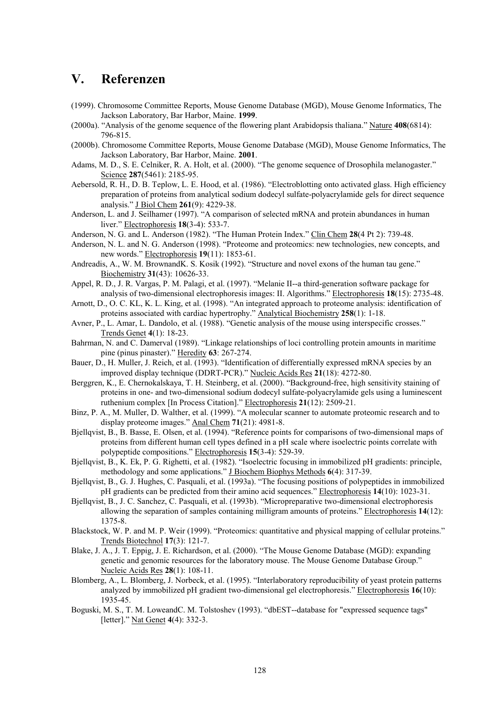## **V. Referenzen**

- (1999). Chromosome Committee Reports, Mouse Genome Database (MGD), Mouse Genome Informatics, The Jackson Laboratory, Bar Harbor, Maine. **1999**.
- (2000a). "Analysis of the genome sequence of the flowering plant Arabidopsis thaliana." Nature **408**(6814): 796-815.
- (2000b). Chromosome Committee Reports, Mouse Genome Database (MGD), Mouse Genome Informatics, The Jackson Laboratory, Bar Harbor, Maine. **2001**.
- Adams, M. D., S. E. Celniker, R. A. Holt, et al. (2000). "The genome sequence of Drosophila melanogaster." Science **287**(5461): 2185-95.
- Aebersold, R. H., D. B. Teplow, L. E. Hood, et al. (1986). "Electroblotting onto activated glass. High efficiency preparation of proteins from analytical sodium dodecyl sulfate-polyacrylamide gels for direct sequence analysis." J Biol Chem **261**(9): 4229-38.
- Anderson, L. and J. Seilhamer (1997). "A comparison of selected mRNA and protein abundances in human liver." Electrophoresis **18**(3-4): 533-7.
- Anderson, N. G. and L. Anderson (1982). "The Human Protein Index." Clin Chem **28**(4 Pt 2): 739-48.
- Anderson, N. L. and N. G. Anderson (1998). "Proteome and proteomics: new technologies, new concepts, and new words." Electrophoresis **19**(11): 1853-61.
- Andreadis, A., W. M. BrownandK. S. Kosik (1992). "Structure and novel exons of the human tau gene." Biochemistry **31**(43): 10626-33.
- Appel, R. D., J. R. Vargas, P. M. Palagi, et al. (1997). "Melanie II--a third-generation software package for analysis of two-dimensional electrophoresis images: II. Algorithms." Electrophoresis **18**(15): 2735-48.
- Arnott, D., O. C. KL, K. L. King, et al. (1998). "An integrated approach to proteome analysis: identification of proteins associated with cardiac hypertrophy." Analytical Biochemistry **258**(1): 1-18.
- Avner, P., L. Amar, L. Dandolo, et al. (1988). "Genetic analysis of the mouse using interspecific crosses." Trends Genet **4**(1): 18-23.
- Bahrman, N. and C. Damerval (1989). "Linkage relationships of loci controlling protein amounts in maritime pine (pinus pinaster)." Heredity **63**: 267-274.
- Bauer, D., H. Muller, J. Reich, et al. (1993). "Identification of differentially expressed mRNA species by an improved display technique (DDRT-PCR)." Nucleic Acids Res **21**(18): 4272-80.
- Berggren, K., E. Chernokalskaya, T. H. Steinberg, et al. (2000). "Background-free, high sensitivity staining of proteins in one- and two-dimensional sodium dodecyl sulfate-polyacrylamide gels using a luminescent ruthenium complex [In Process Citation]." Electrophoresis **21**(12): 2509-21.
- Binz, P. A., M. Muller, D. Walther, et al. (1999). "A molecular scanner to automate proteomic research and to display proteome images." Anal Chem **71**(21): 4981-8.
- Bjellqvist, B., B. Basse, E. Olsen, et al. (1994). "Reference points for comparisons of two-dimensional maps of proteins from different human cell types defined in a pH scale where isoelectric points correlate with polypeptide compositions." Electrophoresis **15**(3-4): 529-39.
- Bjellqvist, B., K. Ek, P. G. Righetti, et al. (1982). "Isoelectric focusing in immobilized pH gradients: principle, methodology and some applications." J Biochem Biophys Methods **6**(4): 317-39.
- Bjellqvist, B., G. J. Hughes, C. Pasquali, et al. (1993a). "The focusing positions of polypeptides in immobilized pH gradients can be predicted from their amino acid sequences." Electrophoresis **14**(10): 1023-31.
- Bjellqvist, B., J. C. Sanchez, C. Pasquali, et al. (1993b). "Micropreparative two-dimensional electrophoresis allowing the separation of samples containing milligram amounts of proteins." Electrophoresis **14**(12): 1375-8.
- Blackstock, W. P. and M. P. Weir (1999). "Proteomics: quantitative and physical mapping of cellular proteins." Trends Biotechnol **17**(3): 121-7.
- Blake, J. A., J. T. Eppig, J. E. Richardson, et al. (2000). "The Mouse Genome Database (MGD): expanding genetic and genomic resources for the laboratory mouse. The Mouse Genome Database Group." Nucleic Acids Res **28**(1): 108-11.
- Blomberg, A., L. Blomberg, J. Norbeck, et al. (1995). "Interlaboratory reproducibility of yeast protein patterns analyzed by immobilized pH gradient two-dimensional gel electrophoresis." Electrophoresis **16**(10): 1935-45.
- Boguski, M. S., T. M. LoweandC. M. Tolstoshev (1993). "dbEST--database for "expressed sequence tags" [letter]." Nat Genet **4**(4): 332-3.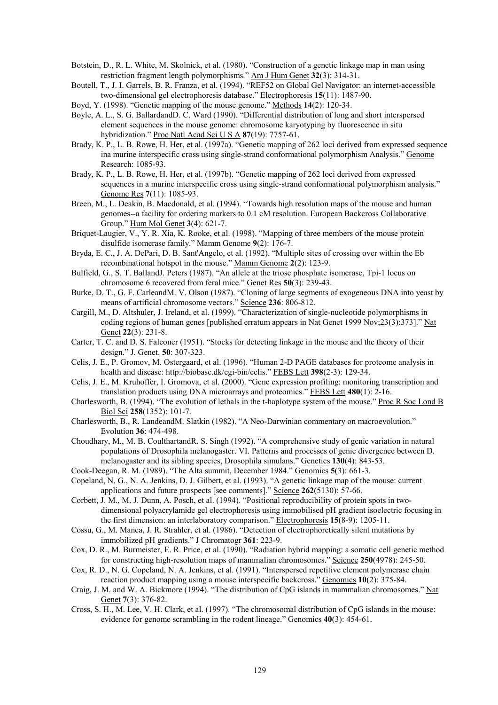- Botstein, D., R. L. White, M. Skolnick, et al. (1980). "Construction of a genetic linkage map in man using restriction fragment length polymorphisms." Am J Hum Genet **32**(3): 314-31.
- Boutell, T., J. I. Garrels, B. R. Franza, et al. (1994). "REF52 on Global Gel Navigator: an internet-accessible two-dimensional gel electrophoresis database." Electrophoresis **15**(11): 1487-90.
- Boyd, Y. (1998). "Genetic mapping of the mouse genome." Methods **14**(2): 120-34.
- Boyle, A. L., S. G. BallardandD. C. Ward (1990). "Differential distribution of long and short interspersed element sequences in the mouse genome: chromosome karyotyping by fluorescence in situ hybridization." Proc Natl Acad Sci U S A **87**(19): 7757-61.
- Brady, K. P., L. B. Rowe, H. Her, et al. (1997a). "Genetic mapping of 262 loci derived from expressed sequence ina murine interspecific cross using single-strand conformational polymorphism Analysis." Genome Research: 1085-93.
- Brady, K. P., L. B. Rowe, H. Her, et al. (1997b). "Genetic mapping of 262 loci derived from expressed sequences in a murine interspecific cross using single-strand conformational polymorphism analysis." Genome Res **7**(11): 1085-93.
- Breen, M., L. Deakin, B. Macdonald, et al. (1994). "Towards high resolution maps of the mouse and human genomes--a facility for ordering markers to 0.1 cM resolution. European Backcross Collaborative Group." Hum Mol Genet **3**(4): 621-7.
- Briquet-Laugier, V., Y. R. Xia, K. Rooke, et al. (1998). "Mapping of three members of the mouse protein disulfide isomerase family." Mamm Genome **9**(2): 176-7.
- Bryda, E. C., J. A. DePari, D. B. Sant'Angelo, et al. (1992). "Multiple sites of crossing over within the Eb recombinational hotspot in the mouse." Mamm Genome **2**(2): 123-9.
- Bulfield, G., S. T. BallandJ. Peters (1987). "An allele at the triose phosphate isomerase, Tpi-1 locus on chromosome 6 recovered from feral mice." Genet Res **50**(3): 239-43.
- Burke, D. T., G. F. CarleandM. V. Olson (1987). "Cloning of large segments of exogeneous DNA into yeast by means of artificial chromosome vectors." Science **236**: 806-812.
- Cargill, M., D. Altshuler, J. Ireland, et al. (1999). "Characterization of single-nucleotide polymorphisms in coding regions of human genes [published erratum appears in Nat Genet 1999 Nov;23(3):373]." Nat Genet **22**(3): 231-8.
- Carter, T. C. and D. S. Falconer (1951). "Stocks for detecting linkage in the mouse and the theory of their design." J. Genet. **50**: 307-323.
- Celis, J. E., P. Gromov, M. Ostergaard, et al. (1996). "Human 2-D PAGE databases for proteome analysis in health and disease: http://biobase.dk/cgi-bin/celis." FEBS Lett **398**(2-3): 129-34.
- Celis, J. E., M. Kruhoffer, I. Gromova, et al. (2000). "Gene expression profiling: monitoring transcription and translation products using DNA microarrays and proteomics." FEBS Lett **480**(1): 2-16.
- Charlesworth, B. (1994). "The evolution of lethals in the t-haplotype system of the mouse." Proc R Soc Lond B Biol Sci **258**(1352): 101-7.
- Charlesworth, B., R. LandeandM. Slatkin (1982). "A Neo-Darwinian commentary on macroevolution." Evolution **36**: 474-498.
- Choudhary, M., M. B. CoulthartandR. S. Singh (1992). "A comprehensive study of genic variation in natural populations of Drosophila melanogaster. VI. Patterns and processes of genic divergence between D. melanogaster and its sibling species, Drosophila simulans." Genetics **130**(4): 843-53.
- Cook-Deegan, R. M. (1989). "The Alta summit, December 1984." Genomics **5**(3): 661-3.
- Copeland, N. G., N. A. Jenkins, D. J. Gilbert, et al. (1993). "A genetic linkage map of the mouse: current applications and future prospects [see comments]." Science **262**(5130): 57-66.
- Corbett, J. M., M. J. Dunn, A. Posch, et al. (1994). "Positional reproducibility of protein spots in twodimensional polyacrylamide gel electrophoresis using immobilised pH gradient isoelectric focusing in the first dimension: an interlaboratory comparison." Electrophoresis **15**(8-9): 1205-11.
- Cossu, G., M. Manca, J. R. Strahler, et al. (1986). "Detection of electrophoretically silent mutations by immobilized pH gradients." J Chromatogr **361**: 223-9.
- Cox, D. R., M. Burmeister, E. R. Price, et al. (1990). "Radiation hybrid mapping: a somatic cell genetic method for constructing high-resolution maps of mammalian chromosomes." Science **250**(4978): 245-50.
- Cox, R. D., N. G. Copeland, N. A. Jenkins, et al. (1991). "Interspersed repetitive element polymerase chain reaction product mapping using a mouse interspecific backcross." Genomics **10**(2): 375-84.
- Craig, J. M. and W. A. Bickmore (1994). "The distribution of CpG islands in mammalian chromosomes." Nat Genet **7**(3): 376-82.
- Cross, S. H., M. Lee, V. H. Clark, et al. (1997). "The chromosomal distribution of CpG islands in the mouse: evidence for genome scrambling in the rodent lineage." Genomics **40**(3): 454-61.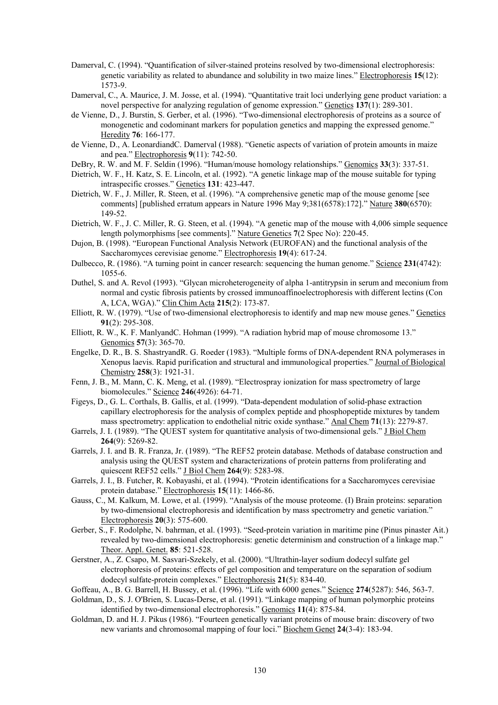- Damerval, C. (1994). "Quantification of silver-stained proteins resolved by two-dimensional electrophoresis: genetic variability as related to abundance and solubility in two maize lines." Electrophoresis **15**(12): 1573-9.
- Damerval, C., A. Maurice, J. M. Josse, et al. (1994). "Quantitative trait loci underlying gene product variation: a novel perspective for analyzing regulation of genome expression." Genetics **137**(1): 289-301.
- de Vienne, D., J. Burstin, S. Gerber, et al. (1996). "Two-dimensional electrophoresis of proteins as a source of monogenetic and codominant markers for population genetics and mapping the expressed genome." Heredity **76**: 166-177.
- de Vienne, D., A. LeonardiandC. Damerval (1988). "Genetic aspects of variation of protein amounts in maize and pea." Electrophoresis **9**(11): 742-50.
- DeBry, R. W. and M. F. Seldin (1996). "Human/mouse homology relationships." Genomics **33**(3): 337-51.
- Dietrich, W. F., H. Katz, S. E. Lincoln, et al. (1992). "A genetic linkage map of the mouse suitable for typing intraspecific crosses." Genetics **131**: 423-447.
- Dietrich, W. F., J. Miller, R. Steen, et al. (1996). "A comprehensive genetic map of the mouse genome [see comments] [published erratum appears in Nature 1996 May 9;381(6578):172]." Nature **380**(6570): 149-52.
- Dietrich, W. F., J. C. Miller, R. G. Steen, et al. (1994). "A genetic map of the mouse with 4,006 simple sequence length polymorphisms [see comments]." Nature Genetics **7**(2 Spec No): 220-45.
- Dujon, B. (1998). "European Functional Analysis Network (EUROFAN) and the functional analysis of the Saccharomyces cerevisiae genome." Electrophoresis **19**(4): 617-24.
- Dulbecco, R. (1986). "A turning point in cancer research: sequencing the human genome." Science **231**(4742): 1055-6.
- Duthel, S. and A. Revol (1993). "Glycan microheterogeneity of alpha 1-antitrypsin in serum and meconium from normal and cystic fibrosis patients by crossed immunoaffinoelectrophoresis with different lectins (Con A, LCA, WGA)." Clin Chim Acta **215**(2): 173-87.
- Elliott, R. W. (1979). "Use of two-dimensional electrophoresis to identify and map new mouse genes." Genetics **91**(2): 295-308.
- Elliott, R. W., K. F. ManlyandC. Hohman (1999). "A radiation hybrid map of mouse chromosome 13." Genomics **57**(3): 365-70.
- Engelke, D. R., B. S. ShastryandR. G. Roeder (1983). "Multiple forms of DNA-dependent RNA polymerases in Xenopus laevis. Rapid purification and structural and immunological properties." Journal of Biological Chemistry **258**(3): 1921-31.
- Fenn, J. B., M. Mann, C. K. Meng, et al. (1989). "Electrospray ionization for mass spectrometry of large biomolecules." Science **246**(4926): 64-71.
- Figeys, D., G. L. Corthals, B. Gallis, et al. (1999). "Data-dependent modulation of solid-phase extraction capillary electrophoresis for the analysis of complex peptide and phosphopeptide mixtures by tandem mass spectrometry: application to endothelial nitric oxide synthase." Anal Chem **71**(13): 2279-87.
- Garrels, J. I. (1989). "The QUEST system for quantitative analysis of two-dimensional gels." J Biol Chem **264**(9): 5269-82.
- Garrels, J. I. and B. R. Franza, Jr. (1989). "The REF52 protein database. Methods of database construction and analysis using the QUEST system and characterizations of protein patterns from proliferating and quiescent REF52 cells." J Biol Chem **264**(9): 5283-98.
- Garrels, J. I., B. Futcher, R. Kobayashi, et al. (1994). "Protein identifications for a Saccharomyces cerevisiae protein database." Electrophoresis **15**(11): 1466-86.
- Gauss, C., M. Kalkum, M. Lowe, et al. (1999). "Analysis of the mouse proteome. (I) Brain proteins: separation by two-dimensional electrophoresis and identification by mass spectrometry and genetic variation." Electrophoresis **20**(3): 575-600.
- Gerber, S., F. Rodolphe, N. bahrman, et al. (1993). "Seed-protein variation in maritime pine (Pinus pinaster Ait.) revealed by two-dimensional electrophoresis: genetic determinism and construction of a linkage map." Theor. Appl. Genet. **85**: 521-528.
- Gerstner, A., Z. Csapo, M. Sasvari-Szekely, et al. (2000). "Ultrathin-layer sodium dodecyl sulfate gel electrophoresis of proteins: effects of gel composition and temperature on the separation of sodium dodecyl sulfate-protein complexes." Electrophoresis **21**(5): 834-40.
- Goffeau, A., B. G. Barrell, H. Bussey, et al. (1996). "Life with 6000 genes." Science **274**(5287): 546, 563-7.
- Goldman, D., S. J. O'Brien, S. Lucas-Derse, et al. (1991). "Linkage mapping of human polymorphic proteins identified by two-dimensional electrophoresis." Genomics **11**(4): 875-84.
- Goldman, D. and H. J. Pikus (1986). "Fourteen genetically variant proteins of mouse brain: discovery of two new variants and chromosomal mapping of four loci." Biochem Genet **24**(3-4): 183-94.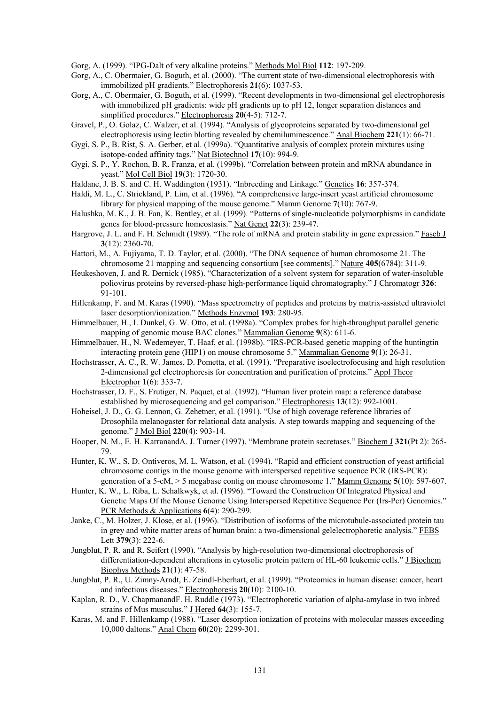Gorg, A. (1999). "IPG-Dalt of very alkaline proteins." Methods Mol Biol **112**: 197-209.

- Gorg, A., C. Obermaier, G. Boguth, et al. (2000). "The current state of two-dimensional electrophoresis with immobilized pH gradients." Electrophoresis **21**(6): 1037-53.
- Gorg, A., C. Obermaier, G. Boguth, et al. (1999). "Recent developments in two-dimensional gel electrophoresis with immobilized pH gradients: wide pH gradients up to pH 12, longer separation distances and simplified procedures." Electrophoresis **20**(4-5): 712-7.
- Gravel, P., O. Golaz, C. Walzer, et al. (1994). "Analysis of glycoproteins separated by two-dimensional gel electrophoresis using lectin blotting revealed by chemiluminescence." Anal Biochem **221**(1): 66-71.
- Gygi, S. P., B. Rist, S. A. Gerber, et al. (1999a). "Quantitative analysis of complex protein mixtures using isotope-coded affinity tags." Nat Biotechnol **17**(10): 994-9.
- Gygi, S. P., Y. Rochon, B. R. Franza, et al. (1999b). "Correlation between protein and mRNA abundance in yeast." Mol Cell Biol **19**(3): 1720-30.
- Haldane, J. B. S. and C. H. Waddington (1931). "Inbreeding and Linkage." Genetics **16**: 357-374.
- Haldi, M. L., C. Strickland, P. Lim, et al. (1996). "A comprehensive large-insert yeast artificial chromosome library for physical mapping of the mouse genome." Mamm Genome **7**(10): 767-9.
- Halushka, M. K., J. B. Fan, K. Bentley, et al. (1999). "Patterns of single-nucleotide polymorphisms in candidate genes for blood-pressure homeostasis." Nat Genet **22**(3): 239-47.
- Hargrove, J. L. and F. H. Schmidt (1989). "The role of mRNA and protein stability in gene expression." Faseb J **3**(12): 2360-70.
- Hattori, M., A. Fujiyama, T. D. Taylor, et al. (2000). "The DNA sequence of human chromosome 21. The chromosome 21 mapping and sequencing consortium [see comments]." Nature **405**(6784): 311-9.
- Heukeshoven, J. and R. Dernick (1985). "Characterization of a solvent system for separation of water-insoluble poliovirus proteins by reversed-phase high-performance liquid chromatography." J Chromatogr **326**: 91-101.
- Hillenkamp, F. and M. Karas (1990). "Mass spectrometry of peptides and proteins by matrix-assisted ultraviolet laser desorption/ionization." Methods Enzymol **193**: 280-95.
- Himmelbauer, H., I. Dunkel, G. W. Otto, et al. (1998a). "Complex probes for high-throughput parallel genetic mapping of genomic mouse BAC clones." Mammalian Genome **9**(8): 611-6.
- Himmelbauer, H., N. Wedemeyer, T. Haaf, et al. (1998b). "IRS-PCR-based genetic mapping of the huntingtin interacting protein gene (HIP1) on mouse chromosome 5." Mammalian Genome **9**(1): 26-31.
- Hochstrasser, A. C., R. W. James, D. Pometta, et al. (1991). "Preparative isoelectrofocusing and high resolution 2-dimensional gel electrophoresis for concentration and purification of proteins." Appl Theor Electrophor **1**(6): 333-7.
- Hochstrasser, D. F., S. Frutiger, N. Paquet, et al. (1992). "Human liver protein map: a reference database established by microsequencing and gel comparison." Electrophoresis **13**(12): 992-1001.
- Hoheisel, J. D., G. G. Lennon, G. Zehetner, et al. (1991). "Use of high coverage reference libraries of Drosophila melanogaster for relational data analysis. A step towards mapping and sequencing of the genome." J Mol Biol **220**(4): 903-14.
- Hooper, N. M., E. H. KarranandA. J. Turner (1997). "Membrane protein secretases." Biochem J **321**(Pt 2): 265- 79.
- Hunter, K. W., S. D. Ontiveros, M. L. Watson, et al. (1994). "Rapid and efficient construction of yeast artificial chromosome contigs in the mouse genome with interspersed repetitive sequence PCR (IRS-PCR): generation of a 5-cM, > 5 megabase contig on mouse chromosome 1." Mamm Genome **5**(10): 597-607.
- Hunter, K. W., L. Riba, L. Schalkwyk, et al. (1996). "Toward the Construction Of Integrated Physical and Genetic Maps Of the Mouse Genome Using Interspersed Repetitive Sequence Pcr (Irs-Pcr) Genomics." PCR Methods & Applications **6**(4): 290-299.
- Janke, C., M. Holzer, J. Klose, et al. (1996). "Distribution of isoforms of the microtubule-associated protein tau in grey and white matter areas of human brain: a two-dimensional gelelectrophoretic analysis." FEBS Lett **379**(3): 222-6.
- Jungblut, P. R. and R. Seifert (1990). "Analysis by high-resolution two-dimensional electrophoresis of differentiation-dependent alterations in cytosolic protein pattern of HL-60 leukemic cells." J Biochem Biophys Methods **21**(1): 47-58.
- Jungblut, P. R., U. Zimny-Arndt, E. Zeindl-Eberhart, et al. (1999). "Proteomics in human disease: cancer, heart and infectious diseases." Electrophoresis **20**(10): 2100-10.
- Kaplan, R. D., V. ChapmanandF. H. Ruddle (1973). "Electrophoretic variation of alpha-amylase in two inbred strains of Mus musculus." J Hered **64**(3): 155-7.
- Karas, M. and F. Hillenkamp (1988). "Laser desorption ionization of proteins with molecular masses exceeding 10,000 daltons." Anal Chem **60**(20): 2299-301.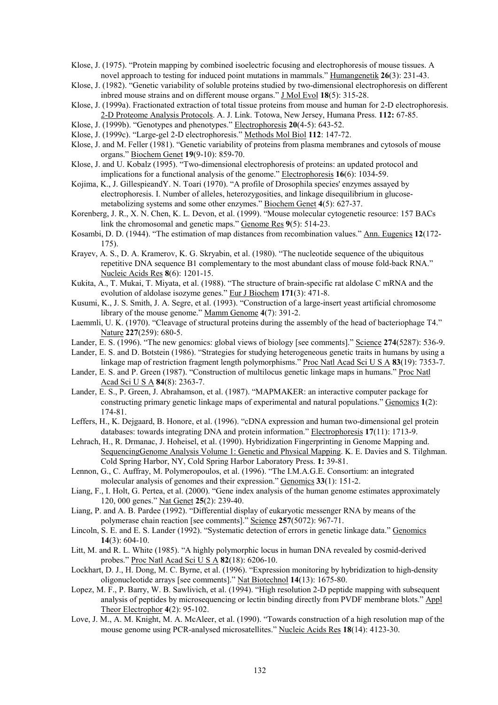- Klose, J. (1975). "Protein mapping by combined isoelectric focusing and electrophoresis of mouse tissues. A novel approach to testing for induced point mutations in mammals." Humangenetik **26**(3): 231-43.
- Klose, J. (1982). "Genetic variability of soluble proteins studied by two-dimensional electrophoresis on different inbred mouse strains and on different mouse organs." J Mol Evol **18**(5): 315-28.
- Klose, J. (1999a). Fractionated extraction of total tissue proteins from mouse and human for 2-D electrophoresis. 2-D Proteome Analysis Protocols. A. J. Link. Totowa, New Jersey, Humana Press. **112:** 67-85.
- Klose, J. (1999b). "Genotypes and phenotypes." Electrophoresis **20**(4-5): 643-52.
- Klose, J. (1999c). "Large-gel 2-D electrophoresis." Methods Mol Biol **112**: 147-72.
- Klose, J. and M. Feller (1981). "Genetic variability of proteins from plasma membranes and cytosols of mouse organs." Biochem Genet **19**(9-10): 859-70.
- Klose, J. and U. Kobalz (1995). "Two-dimensional electrophoresis of proteins: an updated protocol and implications for a functional analysis of the genome." Electrophoresis **16**(6): 1034-59.
- Kojima, K., J. GillespieandY. N. Toari (1970). "A profile of Drosophila species' enzymes assayed by electrophoresis. I. Number of alleles, heterozygosities, and linkage disequilibrium in glucosemetabolizing systems and some other enzymes." Biochem Genet **4**(5): 627-37.
- Korenberg, J. R., X. N. Chen, K. L. Devon, et al. (1999). "Mouse molecular cytogenetic resource: 157 BACs link the chromosomal and genetic maps." Genome Res **9**(5): 514-23.
- Kosambi, D. D. (1944). "The estimation of map distances from recombination values." Ann. Eugenics **12**(172- 175).
- Krayev, A. S., D. A. Kramerov, K. G. Skryabin, et al. (1980). "The nucleotide sequence of the ubiquitous repetitive DNA sequence B1 complementary to the most abundant class of mouse fold-back RNA." Nucleic Acids Res **8**(6): 1201-15.
- Kukita, A., T. Mukai, T. Miyata, et al. (1988). "The structure of brain-specific rat aldolase C mRNA and the evolution of aldolase isozyme genes." Eur J Biochem **171**(3): 471-8.
- Kusumi, K., J. S. Smith, J. A. Segre, et al. (1993). "Construction of a large-insert yeast artificial chromosome library of the mouse genome." Mamm Genome **4**(7): 391-2.
- Laemmli, U. K. (1970). "Cleavage of structural proteins during the assembly of the head of bacteriophage T4." Nature **227**(259): 680-5.
- Lander, E. S. (1996). "The new genomics: global views of biology [see comments]." Science **274**(5287): 536-9.
- Lander, E. S. and D. Botstein (1986). "Strategies for studying heterogeneous genetic traits in humans by using a linkage map of restriction fragment length polymorphisms." Proc Natl Acad Sci U S A **83**(19): 7353-7.
- Lander, E. S. and P. Green (1987). "Construction of multilocus genetic linkage maps in humans." Proc Natl Acad Sci U S A **84**(8): 2363-7.
- Lander, E. S., P. Green, J. Abrahamson, et al. (1987). "MAPMAKER: an interactive computer package for constructing primary genetic linkage maps of experimental and natural populations." Genomics **1**(2): 174-81.
- Leffers, H., K. Dejgaard, B. Honore, et al. (1996). "cDNA expression and human two-dimensional gel protein databases: towards integrating DNA and protein information." Electrophoresis **17**(11): 1713-9.
- Lehrach, H., R. Drmanac, J. Hoheisel, et al. (1990). Hybridization Fingerprinting in Genome Mapping and. SequencingGenome Analysis Volume 1: Genetic and Physical Mapping. K. E. Davies and S. Tilghman. Cold Spring Harbor, NY, Cold Spring Harbor Laboratory Press. **1:** 39-81.
- Lennon, G., C. Auffray, M. Polymeropoulos, et al. (1996). "The I.M.A.G.E. Consortium: an integrated molecular analysis of genomes and their expression." Genomics **33**(1): 151-2.
- Liang, F., I. Holt, G. Pertea, et al. (2000). "Gene index analysis of the human genome estimates approximately 120, 000 genes." Nat Genet **25**(2): 239-40.
- Liang, P. and A. B. Pardee (1992). "Differential display of eukaryotic messenger RNA by means of the polymerase chain reaction [see comments]." Science **257**(5072): 967-71.
- Lincoln, S. E. and E. S. Lander (1992). "Systematic detection of errors in genetic linkage data." Genomics **14**(3): 604-10.
- Litt, M. and R. L. White (1985). "A highly polymorphic locus in human DNA revealed by cosmid-derived probes." Proc Natl Acad Sci U S A **82**(18): 6206-10.
- Lockhart, D. J., H. Dong, M. C. Byrne, et al. (1996). "Expression monitoring by hybridization to high-density oligonucleotide arrays [see comments]." Nat Biotechnol **14**(13): 1675-80.
- Lopez, M. F., P. Barry, W. B. Sawlivich, et al. (1994). "High resolution 2-D peptide mapping with subsequent analysis of peptides by microsequencing or lectin binding directly from PVDF membrane blots." Appl Theor Electrophor **4**(2): 95-102.
- Love, J. M., A. M. Knight, M. A. McAleer, et al. (1990). "Towards construction of a high resolution map of the mouse genome using PCR-analysed microsatellites." Nucleic Acids Res **18**(14): 4123-30.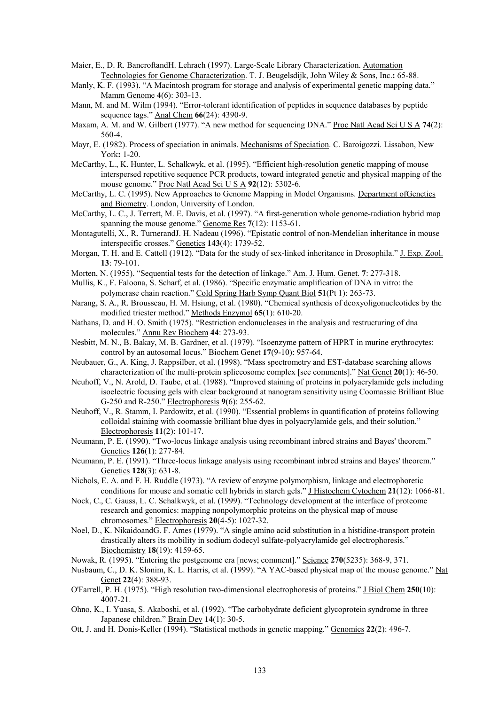- Maier, E., D. R. BancroftandH. Lehrach (1997). Large-Scale Library Characterization. Automation Technologies for Genome Characterization. T. J. Beugelsdijk, John Wiley & Sons, Inc.**:** 65-88.
- Manly, K. F. (1993). "A Macintosh program for storage and analysis of experimental genetic mapping data." Mamm Genome **4**(6): 303-13.
- Mann, M. and M. Wilm (1994). "Error-tolerant identification of peptides in sequence databases by peptide sequence tags." Anal Chem **66**(24): 4390-9.
- Maxam, A. M. and W. Gilbert (1977). "A new method for sequencing DNA." Proc Natl Acad Sci U S A **74**(2): 560-4.
- Mayr, E. (1982). Process of speciation in animals. Mechanisms of Speciation. C. Baroigozzi. Lissabon, New York**:** 1-20.
- McCarthy, L., K. Hunter, L. Schalkwyk, et al. (1995). "Efficient high-resolution genetic mapping of mouse interspersed repetitive sequence PCR products, toward integrated genetic and physical mapping of the mouse genome." Proc Natl Acad Sci U S A **92**(12): 5302-6.
- McCarthy, L. C. (1995). New Approaches to Genome Mapping in Model Organisms. Department ofGenetics and Biometry. London, University of London.
- McCarthy, L. C., J. Terrett, M. E. Davis, et al. (1997). "A first-generation whole genome-radiation hybrid map spanning the mouse genome." Genome Res **7**(12): 1153-61.
- Montagutelli, X., R. TurnerandJ. H. Nadeau (1996). "Epistatic control of non-Mendelian inheritance in mouse interspecific crosses." Genetics **143**(4): 1739-52.
- Morgan, T. H. and E. Cattell (1912). "Data for the study of sex-linked inheritance in Drosophila." J. Exp. Zool. **13**: 79-101.
- Morten, N. (1955). "Sequential tests for the detection of linkage." Am. J. Hum. Genet. **7**: 277-318.
- Mullis, K., F. Faloona, S. Scharf, et al. (1986). "Specific enzymatic amplification of DNA in vitro: the polymerase chain reaction." Cold Spring Harb Symp Quant Biol **51**(Pt 1): 263-73.
- Narang, S. A., R. Brousseau, H. M. Hsiung, et al. (1980). "Chemical synthesis of deoxyoligonucleotides by the modified triester method." Methods Enzymol **65**(1): 610-20.
- Nathans, D. and H. O. Smith (1975). "Restriction endonucleases in the analysis and restructuring of dna molecules." Annu Rev Biochem **44**: 273-93.
- Nesbitt, M. N., B. Bakay, M. B. Gardner, et al. (1979). "Isoenzyme pattern of HPRT in murine erythrocytes: control by an autosomal locus." Biochem Genet **17**(9-10): 957-64.
- Neubauer, G., A. King, J. Rappsilber, et al. (1998). "Mass spectrometry and EST-database searching allows characterization of the multi-protein spliceosome complex [see comments]." Nat Genet **20**(1): 46-50.
- Neuhoff, V., N. Arold, D. Taube, et al. (1988). "Improved staining of proteins in polyacrylamide gels including isoelectric focusing gels with clear background at nanogram sensitivity using Coomassie Brilliant Blue G-250 and R-250." Electrophoresis **9**(6): 255-62.
- Neuhoff, V., R. Stamm, I. Pardowitz, et al. (1990). "Essential problems in quantification of proteins following colloidal staining with coomassie brilliant blue dyes in polyacrylamide gels, and their solution." Electrophoresis **11**(2): 101-17.
- Neumann, P. E. (1990). "Two-locus linkage analysis using recombinant inbred strains and Bayes' theorem." Genetics **126**(1): 277-84.
- Neumann, P. E. (1991). "Three-locus linkage analysis using recombinant inbred strains and Bayes' theorem." Genetics **128**(3): 631-8.
- Nichols, E. A. and F. H. Ruddle (1973). "A review of enzyme polymorphism, linkage and electrophoretic conditions for mouse and somatic cell hybrids in starch gels." J Histochem Cytochem **21**(12): 1066-81.
- Nock, C., C. Gauss, L. C. Schalkwyk, et al. (1999). "Technology development at the interface of proteome research and genomics: mapping nonpolymorphic proteins on the physical map of mouse chromosomes." Electrophoresis **20**(4-5): 1027-32.
- Noel, D., K. NikaidoandG. F. Ames (1979). "A single amino acid substitution in a histidine-transport protein drastically alters its mobility in sodium dodecyl sulfate-polyacrylamide gel electrophoresis." Biochemistry **18**(19): 4159-65.
- Nowak, R. (1995). "Entering the postgenome era [news; comment]." Science **270**(5235): 368-9, 371.
- Nusbaum, C., D. K. Slonim, K. L. Harris, et al. (1999). "A YAC-based physical map of the mouse genome." Nat Genet **22**(4): 388-93.
- O'Farrell, P. H. (1975). "High resolution two-dimensional electrophoresis of proteins." J Biol Chem **250**(10): 4007-21.
- Ohno, K., I. Yuasa, S. Akaboshi, et al. (1992). "The carbohydrate deficient glycoprotein syndrome in three Japanese children." Brain Dev **14**(1): 30-5.
- Ott, J. and H. Donis-Keller (1994). "Statistical methods in genetic mapping." Genomics **22**(2): 496-7.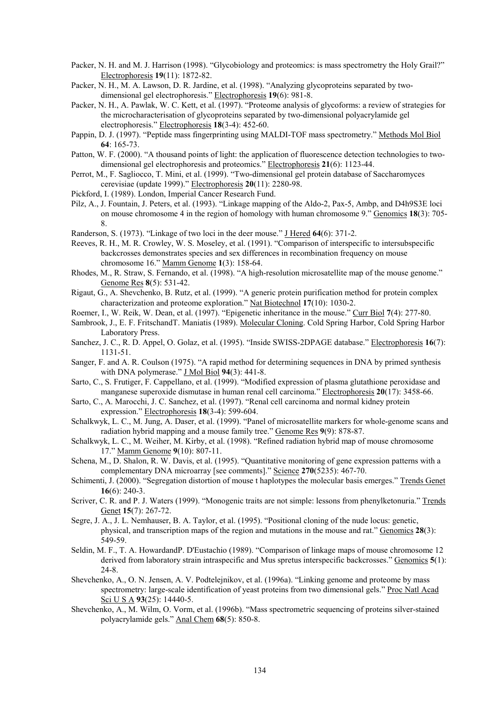- Packer, N. H. and M. J. Harrison (1998). "Glycobiology and proteomics: is mass spectrometry the Holy Grail?" Electrophoresis **19**(11): 1872-82.
- Packer, N. H., M. A. Lawson, D. R. Jardine, et al. (1998). "Analyzing glycoproteins separated by twodimensional gel electrophoresis." Electrophoresis **19**(6): 981-8.
- Packer, N. H., A. Pawlak, W. C. Kett, et al. (1997). "Proteome analysis of glycoforms: a review of strategies for the microcharacterisation of glycoproteins separated by two-dimensional polyacrylamide gel electrophoresis." Electrophoresis **18**(3-4): 452-60.
- Pappin, D. J. (1997). "Peptide mass fingerprinting using MALDI-TOF mass spectrometry." Methods Mol Biol **64**: 165-73.
- Patton, W. F. (2000). "A thousand points of light: the application of fluorescence detection technologies to twodimensional gel electrophoresis and proteomics." Electrophoresis **21**(6): 1123-44.
- Perrot, M., F. Sagliocco, T. Mini, et al. (1999). "Two-dimensional gel protein database of Saccharomyces cerevisiae (update 1999)." Electrophoresis **20**(11): 2280-98.
- Pickford, I. (1989). London, Imperial Cancer Research Fund.
- Pilz, A., J. Fountain, J. Peters, et al. (1993). "Linkage mapping of the Aldo-2, Pax-5, Ambp, and D4h9S3E loci on mouse chromosome 4 in the region of homology with human chromosome 9." Genomics **18**(3): 705- 8.
- Randerson, S. (1973). "Linkage of two loci in the deer mouse." J Hered **64**(6): 371-2.
- Reeves, R. H., M. R. Crowley, W. S. Moseley, et al. (1991). "Comparison of interspecific to intersubspecific backcrosses demonstrates species and sex differences in recombination frequency on mouse chromosome 16." Mamm Genome **1**(3): 158-64.
- Rhodes, M., R. Straw, S. Fernando, et al. (1998). "A high-resolution microsatellite map of the mouse genome." Genome Res **8**(5): 531-42.
- Rigaut, G., A. Shevchenko, B. Rutz, et al. (1999). "A generic protein purification method for protein complex characterization and proteome exploration." Nat Biotechnol **17**(10): 1030-2.
- Roemer, I., W. Reik, W. Dean, et al. (1997). "Epigenetic inheritance in the mouse." Curr Biol **7**(4): 277-80.
- Sambrook, J., E. F. FritschandT. Maniatis (1989). Molecular Cloning. Cold Spring Harbor, Cold Spring Harbor Laboratory Press.
- Sanchez, J. C., R. D. Appel, O. Golaz, et al. (1995). "Inside SWISS-2DPAGE database." Electrophoresis **16**(7): 1131-51.
- Sanger, F. and A. R. Coulson (1975). "A rapid method for determining sequences in DNA by primed synthesis with DNA polymerase." J Mol Biol **94**(3): 441-8.
- Sarto, C., S. Frutiger, F. Cappellano, et al. (1999). "Modified expression of plasma glutathione peroxidase and manganese superoxide dismutase in human renal cell carcinoma." Electrophoresis **20**(17): 3458-66.
- Sarto, C., A. Marocchi, J. C. Sanchez, et al. (1997). "Renal cell carcinoma and normal kidney protein expression." Electrophoresis **18**(3-4): 599-604.
- Schalkwyk, L. C., M. Jung, A. Daser, et al. (1999). "Panel of microsatellite markers for whole-genome scans and radiation hybrid mapping and a mouse family tree." Genome Res **9**(9): 878-87.
- Schalkwyk, L. C., M. Weiher, M. Kirby, et al. (1998). "Refined radiation hybrid map of mouse chromosome 17." Mamm Genome **9**(10): 807-11.
- Schena, M., D. Shalon, R. W. Davis, et al. (1995). "Quantitative monitoring of gene expression patterns with a complementary DNA microarray [see comments]." Science **270**(5235): 467-70.
- Schimenti, J. (2000). "Segregation distortion of mouse t haplotypes the molecular basis emerges." Trends Genet **16**(6): 240-3.
- Scriver, C. R. and P. J. Waters (1999). "Monogenic traits are not simple: lessons from phenylketonuria." Trends Genet **15**(7): 267-72.
- Segre, J. A., J. L. Nemhauser, B. A. Taylor, et al. (1995). "Positional cloning of the nude locus: genetic, physical, and transcription maps of the region and mutations in the mouse and rat." Genomics **28**(3): 549-59.
- Seldin, M. F., T. A. HowardandP. D'Eustachio (1989). "Comparison of linkage maps of mouse chromosome 12 derived from laboratory strain intraspecific and Mus spretus interspecific backcrosses." Genomics **5**(1): 24-8.
- Shevchenko, A., O. N. Jensen, A. V. Podtelejnikov, et al. (1996a). "Linking genome and proteome by mass spectrometry: large-scale identification of yeast proteins from two dimensional gels." Proc Natl Acad Sci U S A **93**(25): 14440-5.
- Shevchenko, A., M. Wilm, O. Vorm, et al. (1996b). "Mass spectrometric sequencing of proteins silver-stained polyacrylamide gels." Anal Chem **68**(5): 850-8.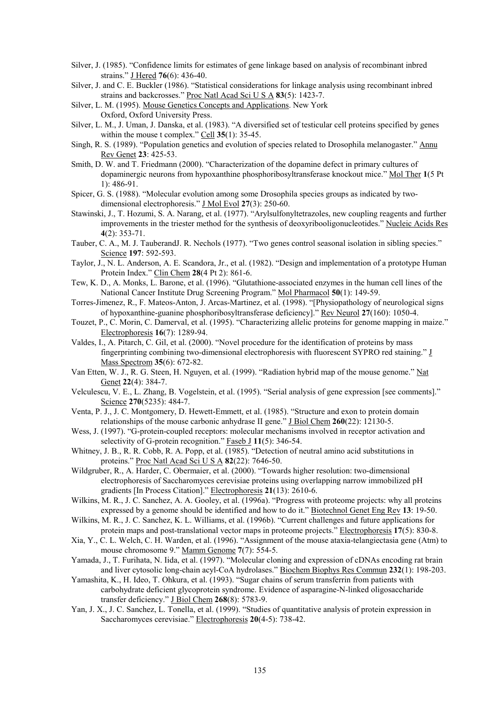- Silver, J. (1985). "Confidence limits for estimates of gene linkage based on analysis of recombinant inbred strains." J Hered **76**(6): 436-40.
- Silver, J. and C. E. Buckler (1986). "Statistical considerations for linkage analysis using recombinant inbred strains and backcrosses." Proc Natl Acad Sci U S A **83**(5): 1423-7.
- Silver, L. M. (1995). Mouse Genetics Concepts and Applications. New York Oxford, Oxford University Press.
- Silver, L. M., J. Uman, J. Danska, et al. (1983). "A diversified set of testicular cell proteins specified by genes within the mouse t complex." Cell **35**(1): 35-45.
- Singh, R. S. (1989). "Population genetics and evolution of species related to Drosophila melanogaster." Annu Rev Genet **23**: 425-53.
- Smith, D. W. and T. Friedmann (2000). "Characterization of the dopamine defect in primary cultures of dopaminergic neurons from hypoxanthine phosphoribosyltransferase knockout mice." Mol Ther **1**(5 Pt 1): 486-91.
- Spicer, G. S. (1988). "Molecular evolution among some Drosophila species groups as indicated by twodimensional electrophoresis." J Mol Evol **27**(3): 250-60.
- Stawinski, J., T. Hozumi, S. A. Narang, et al. (1977). "Arylsulfonyltetrazoles, new coupling reagents and further improvements in the triester method for the synthesis of deoxyribooligonucleotides." Nucleic Acids Res **4**(2): 353-71.
- Tauber, C. A., M. J. TauberandJ. R. Nechols (1977). "Two genes control seasonal isolation in sibling species." Science **197**: 592-593.
- Taylor, J., N. L. Anderson, A. E. Scandora, Jr., et al. (1982). "Design and implementation of a prototype Human Protein Index." Clin Chem **28**(4 Pt 2): 861-6.
- Tew, K. D., A. Monks, L. Barone, et al. (1996). "Glutathione-associated enzymes in the human cell lines of the National Cancer Institute Drug Screening Program." Mol Pharmacol **50**(1): 149-59.
- Torres-Jimenez, R., F. Mateos-Anton, J. Arcas-Martinez, et al. (1998). "[Physiopathology of neurological signs of hypoxanthine-guanine phosphoribosyltransferase deficiency]." Rev Neurol **27**(160): 1050-4.
- Touzet, P., C. Morin, C. Damerval, et al. (1995). "Characterizing allelic proteins for genome mapping in maize." Electrophoresis **16**(7): 1289-94.
- Valdes, I., A. Pitarch, C. Gil, et al. (2000). "Novel procedure for the identification of proteins by mass fingerprinting combining two-dimensional electrophoresis with fluorescent SYPRO red staining." J Mass Spectrom **35**(6): 672-82.
- Van Etten, W. J., R. G. Steen, H. Nguyen, et al. (1999). "Radiation hybrid map of the mouse genome." Nat Genet **22**(4): 384-7.
- Velculescu, V. E., L. Zhang, B. Vogelstein, et al. (1995). "Serial analysis of gene expression [see comments]." Science **270**(5235): 484-7.
- Venta, P. J., J. C. Montgomery, D. Hewett-Emmett, et al. (1985). "Structure and exon to protein domain relationships of the mouse carbonic anhydrase II gene." J Biol Chem **260**(22): 12130-5.
- Wess, J. (1997). "G-protein-coupled receptors: molecular mechanisms involved in receptor activation and selectivity of G-protein recognition." Faseb J 11(5): 346-54.
- Whitney, J. B., R. R. Cobb, R. A. Popp, et al. (1985). "Detection of neutral amino acid substitutions in proteins." Proc Natl Acad Sci U S A **82**(22): 7646-50.
- Wildgruber, R., A. Harder, C. Obermaier, et al. (2000). "Towards higher resolution: two-dimensional electrophoresis of Saccharomyces cerevisiae proteins using overlapping narrow immobilized pH gradients [In Process Citation]." Electrophoresis **21**(13): 2610-6.
- Wilkins, M. R., J. C. Sanchez, A. A. Gooley, et al. (1996a). "Progress with proteome projects: why all proteins expressed by a genome should be identified and how to do it." Biotechnol Genet Eng Rev **13**: 19-50.
- Wilkins, M. R., J. C. Sanchez, K. L. Williams, et al. (1996b). "Current challenges and future applications for protein maps and post-translational vector maps in proteome projects." Electrophoresis **17**(5): 830-8.
- Xia, Y., C. L. Welch, C. H. Warden, et al. (1996). "Assignment of the mouse ataxia-telangiectasia gene (Atm) to mouse chromosome 9." Mamm Genome **7**(7): 554-5.
- Yamada, J., T. Furihata, N. Iida, et al. (1997). "Molecular cloning and expression of cDNAs encoding rat brain and liver cytosolic long-chain acyl-CoA hydrolases." Biochem Biophys Res Commun **232**(1): 198-203.
- Yamashita, K., H. Ideo, T. Ohkura, et al. (1993). "Sugar chains of serum transferrin from patients with carbohydrate deficient glycoprotein syndrome. Evidence of asparagine-N-linked oligosaccharide transfer deficiency." J Biol Chem **268**(8): 5783-9.
- Yan, J. X., J. C. Sanchez, L. Tonella, et al. (1999). "Studies of quantitative analysis of protein expression in Saccharomyces cerevisiae." Electrophoresis **20**(4-5): 738-42.